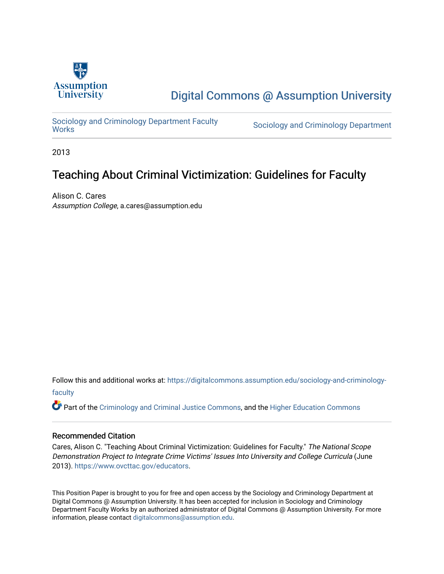

# [Digital Commons @ Assumption University](https://digitalcommons.assumption.edu/)

Sociology and Criminology Department Faculty<br>Works

Sociology and Criminology Department

2013

# Teaching About Criminal Victimization: Guidelines for Faculty

Alison C. Cares Assumption College, a.cares@assumption.edu

Follow this and additional works at: [https://digitalcommons.assumption.edu/sociology-and-criminology](https://digitalcommons.assumption.edu/sociology-and-criminology-faculty?utm_source=digitalcommons.assumption.edu%2Fsociology-and-criminology-faculty%2F9&utm_medium=PDF&utm_campaign=PDFCoverPages)[faculty](https://digitalcommons.assumption.edu/sociology-and-criminology-faculty?utm_source=digitalcommons.assumption.edu%2Fsociology-and-criminology-faculty%2F9&utm_medium=PDF&utm_campaign=PDFCoverPages)

Part of the [Criminology and Criminal Justice Commons](http://network.bepress.com/hgg/discipline/367?utm_source=digitalcommons.assumption.edu%2Fsociology-and-criminology-faculty%2F9&utm_medium=PDF&utm_campaign=PDFCoverPages), and the [Higher Education Commons](http://network.bepress.com/hgg/discipline/1245?utm_source=digitalcommons.assumption.edu%2Fsociology-and-criminology-faculty%2F9&utm_medium=PDF&utm_campaign=PDFCoverPages)

#### Recommended Citation

Cares, Alison C. "Teaching About Criminal Victimization: Guidelines for Faculty." The National Scope Demonstration Project to Integrate Crime Victims' Issues Into University and College Curricula (June 2013). [https://www.ovcttac.gov/educators](https://www.ovcttac.gov/EDUCATORS/).

This Position Paper is brought to you for free and open access by the Sociology and Criminology Department at Digital Commons @ Assumption University. It has been accepted for inclusion in Sociology and Criminology Department Faculty Works by an authorized administrator of Digital Commons @ Assumption University. For more information, please contact [digitalcommons@assumption.edu.](mailto:digitalcommons@assumption.edu)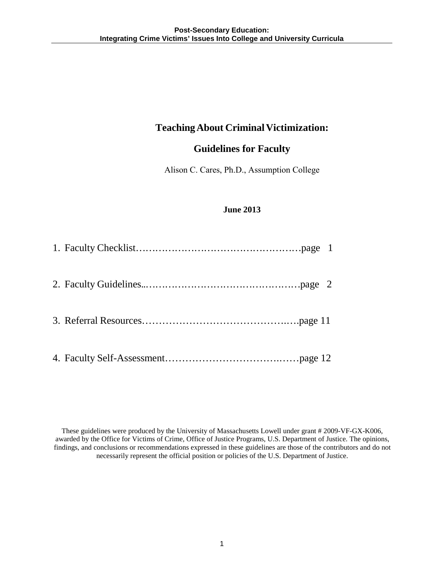## **Teaching About Criminal Victimization:**

# **Guidelines for Faculty**

Alison C. Cares, Ph.D., Assumption College

## **June 2013**

These guidelines were produced by the University of Massachusetts Lowell under grant # 2009-VF-GX-K006, awarded by the Office for Victims of Crime, Office of Justice Programs, U.S. Department of Justice. The opinions, findings, and conclusions or recommendations expressed in these guidelines are those of the contributors and do not necessarily represent the official position or policies of the U.S. Department of Justice.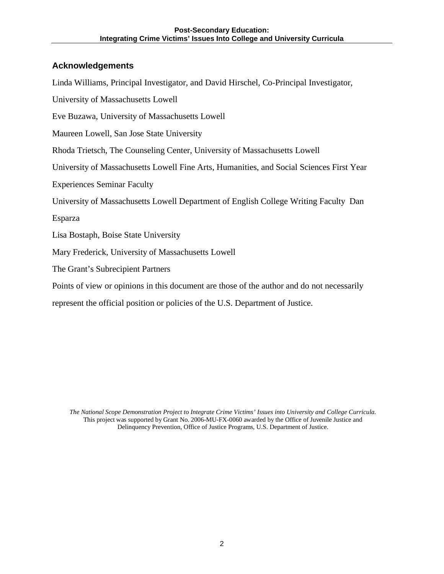## **Acknowledgements**

Linda Williams, Principal Investigator, and David Hirschel, Co-Principal Investigator,

University of Massachusetts Lowell

Eve Buzawa, University of Massachusetts Lowell

Maureen Lowell, San Jose State University

Rhoda Trietsch, The Counseling Center, University of Massachusetts Lowell

University of Massachusetts Lowell Fine Arts, Humanities, and Social Sciences First Year

Experiences Seminar Faculty

University of Massachusetts Lowell Department of English College Writing Faculty Dan

Esparza

Lisa Bostaph, Boise State University

Mary Frederick, University of Massachusetts Lowell

The Grant's Subrecipient Partners

Points of view or opinions in this document are those of the author and do not necessarily

represent the official position or policies of the U.S. Department of Justice.

*The National Scope Demonstration Project to Integrate Crime Victims' Issues into University and College Curricula.* This project was supported by Grant No. 2006-MU-FX-0060 awarded by the Office of Juvenile Justice and Delinquency Prevention, Office of Justice Programs, U.S. Department of Justice.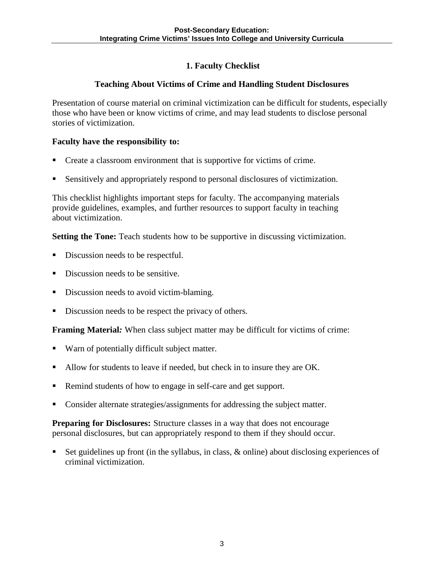## **1. Faculty Checklist**

## **Teaching About Victims of Crime and Handling Student Disclosures**

Presentation of course material on criminal victimization can be difficult for students, especially those who have been or know victims of crime, and may lead students to disclose personal stories of victimization.

#### **Faculty have the responsibility to:**

- Create a classroom environment that is supportive for victims of crime.
- Sensitively and appropriately respond to personal disclosures of victimization.

This checklist highlights important steps for faculty. The accompanying materials provide guidelines, examples, and further resources to support faculty in teaching about victimization.

**Setting the Tone:** Teach students how to be supportive in discussing victimization.

- Discussion needs to be respectful.
- Discussion needs to be sensitive.
- Discussion needs to avoid victim-blaming.
- Discussion needs to be respect the privacy of others.

**Framing Material***:* When class subject matter may be difficult for victims of crime:

- Warn of potentially difficult subject matter.
- Allow for students to leave if needed, but check in to insure they are OK.
- Remind students of how to engage in self-care and get support.
- Consider alternate strategies/assignments for addressing the subject matter.

**Preparing for Disclosures:** Structure classes in a way that does not encourage personal disclosures, but can appropriately respond to them if they should occur.

 Set guidelines up front (in the syllabus, in class, & online) about disclosing experiences of criminal victimization.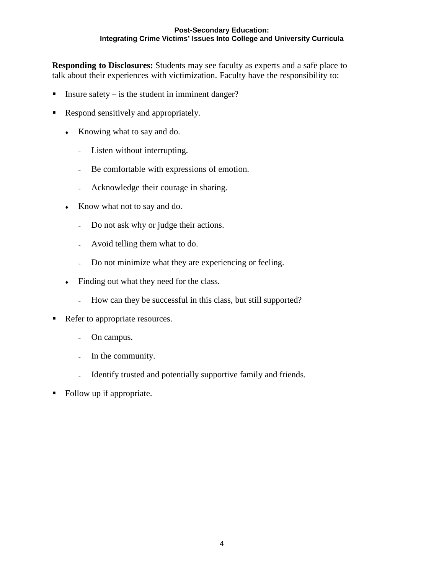**Responding to Disclosures:** Students may see faculty as experts and a safe place to talk about their experiences with victimization. Faculty have the responsibility to:

- Insure safety  $-$  is the student in imminent danger?
- Respond sensitively and appropriately.
	- Knowing what to say and do.
		- <sup>∼</sup> Listen without interrupting.
		- <sup>∼</sup> Be comfortable with expressions of emotion.
		- <sup>∼</sup> Acknowledge their courage in sharing.
	- Know what not to say and do.
		- <sup>∼</sup> Do not ask why or judge their actions.
		- <sup>∼</sup> Avoid telling them what to do.
		- <sup>∼</sup> Do not minimize what they are experiencing or feeling.
	- Finding out what they need for the class.
		- <sup>∼</sup> How can they be successful in this class, but still supported?
- Refer to appropriate resources.
	- <sup>∼</sup> On campus.
	- <sup>∼</sup> In the community.
	- <sup>∼</sup> Identify trusted and potentially supportive family and friends.
- Follow up if appropriate.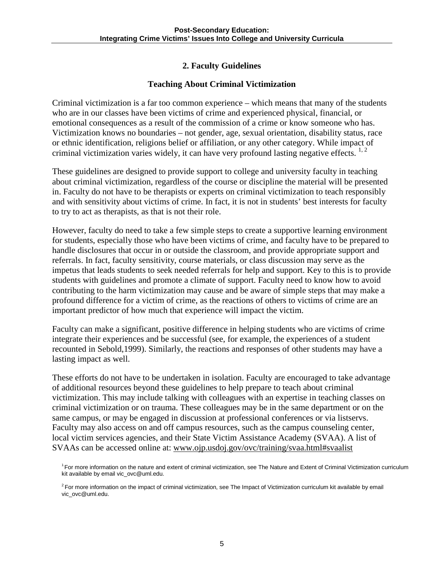## **2. Faculty Guidelines**

#### **Teaching About Criminal Victimization**

Criminal victimization is a far too common experience – which means that many of the students who are in our classes have been victims of crime and experienced physical, financial, or emotional consequences as a result of the commission of a crime or know someone who has. Victimization knows no boundaries – not gender, age, sexual orientation, disability status, race or ethnic identification, religions belief or affiliation, or any other category. While impact of criminal victimization varies widely, it can have very profound lasting negative effects.  $1, 2$ 

These guidelines are designed to provide support to college and university faculty in teaching about criminal victimization, regardless of the course or discipline the material will be presented in. Faculty do not have to be therapists or experts on criminal victimization to teach responsibly and with sensitivity about victims of crime. In fact, it is not in students' best interests for faculty to try to act as therapists, as that is not their role.

However, faculty do need to take a few simple steps to create a supportive learning environment for students, especially those who have been victims of crime, and faculty have to be prepared to handle disclosures that occur in or outside the classroom, and provide appropriate support and referrals. In fact, faculty sensitivity, course materials, or class discussion may serve as the impetus that leads students to seek needed referrals for help and support. Key to this is to provide students with guidelines and promote a climate of support. Faculty need to know how to avoid contributing to the harm victimization may cause and be aware of simple steps that may make a profound difference for a victim of crime, as the reactions of others to victims of crime are an important predictor of how much that experience will impact the victim.

Faculty can make a significant, positive difference in helping students who are victims of crime integrate their experiences and be successful (see, for example, the experiences of a student recounted in Sebold,1999). Similarly, the reactions and responses of other students may have a lasting impact as well.

These efforts do not have to be undertaken in isolation. Faculty are encouraged to take advantage of additional resources beyond these guidelines to help prepare to teach about criminal victimization. This may include talking with colleagues with an expertise in teaching classes on criminal victimization or on trauma. These colleagues may be in the same department or on the same campus, or may be engaged in discussion at professional conferences or via listservs. Faculty may also access on and off campus resources, such as the campus counseling center, local victim services agencies, and their State Victim Assistance Academy (SVAA). A list of SVAAs can be accessed online at: [www.ojp.usdoj.gov/ovc/training/svaa.html#svaalist](http://www.ojp.usdoj.gov/ovc/training/svaa.html%23svaalist)

<sup>&</sup>lt;sup>1</sup> For more information on the nature and extent of criminal victimization, see The Nature and Extent of Criminal Victimization curriculum kit available by email vic\_ovc@uml.edu.

 $2$  For more information on the impact of criminal victimization, see The Impact of Victimization curriculum kit available by email vic\_ovc@uml.edu.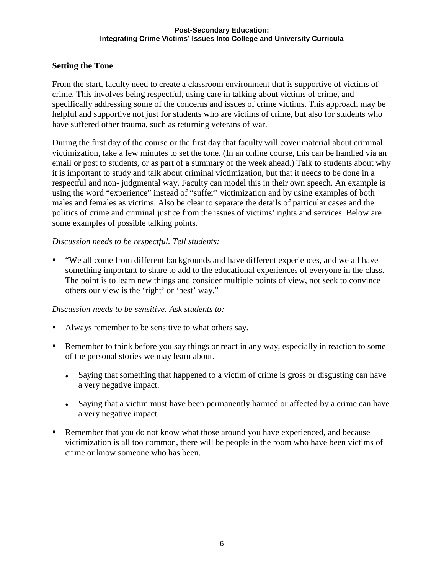#### **Setting the Tone**

From the start, faculty need to create a classroom environment that is supportive of victims of crime. This involves being respectful, using care in talking about victims of crime, and specifically addressing some of the concerns and issues of crime victims. This approach may be helpful and supportive not just for students who are victims of crime, but also for students who have suffered other trauma, such as returning veterans of war.

During the first day of the course or the first day that faculty will cover material about criminal victimization, take a few minutes to set the tone. (In an online course, this can be handled via an email or post to students, or as part of a summary of the week ahead.) Talk to students about why it is important to study and talk about criminal victimization, but that it needs to be done in a respectful and non- judgmental way. Faculty can model this in their own speech. An example is using the word "experience" instead of "suffer" victimization and by using examples of both males and females as victims. Also be clear to separate the details of particular cases and the politics of crime and criminal justice from the issues of victims' rights and services. Below are some examples of possible talking points.

## *Discussion needs to be respectful. Tell students:*

 "We all come from different backgrounds and have different experiences, and we all have something important to share to add to the educational experiences of everyone in the class. The point is to learn new things and consider multiple points of view, not seek to convince others our view is the 'right' or 'best' way."

#### *Discussion needs to be sensitive. Ask students to:*

- Always remember to be sensitive to what others say.
- Remember to think before you say things or react in any way, especially in reaction to some of the personal stories we may learn about.
	- Saying that something that happened to a victim of crime is gross or disgusting can have a very negative impact.
	- Saying that a victim must have been permanently harmed or affected by a crime can have a very negative impact.
- Remember that you do not know what those around you have experienced, and because victimization is all too common, there will be people in the room who have been victims of crime or know someone who has been.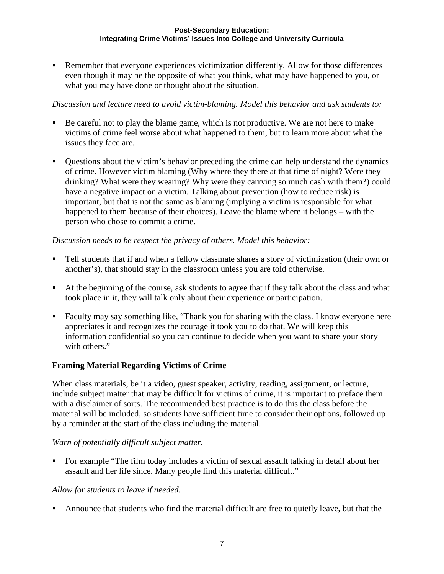Remember that everyone experiences victimization differently. Allow for those differences even though it may be the opposite of what you think, what may have happened to you, or what you may have done or thought about the situation.

#### *Discussion and lecture need to avoid victim-blaming. Model this behavior and ask students to:*

- Be careful not to play the blame game, which is not productive. We are not here to make victims of crime feel worse about what happened to them, but to learn more about what the issues they face are.
- Questions about the victim's behavior preceding the crime can help understand the dynamics of crime. However victim blaming (Why where they there at that time of night? Were they drinking? What were they wearing? Why were they carrying so much cash with them?) could have a negative impact on a victim. Talking about prevention (how to reduce risk) is important, but that is not the same as blaming (implying a victim is responsible for what happened to them because of their choices). Leave the blame where it belongs – with the person who chose to commit a crime.

#### *Discussion needs to be respect the privacy of others. Model this behavior:*

- Tell students that if and when a fellow classmate shares a story of victimization (their own or another's), that should stay in the classroom unless you are told otherwise.
- At the beginning of the course, ask students to agree that if they talk about the class and what took place in it, they will talk only about their experience or participation.
- Faculty may say something like, "Thank you for sharing with the class. I know everyone here appreciates it and recognizes the courage it took you to do that. We will keep this information confidential so you can continue to decide when you want to share your story with others."

#### **Framing Material Regarding Victims of Crime**

When class materials, be it a video, guest speaker, activity, reading, assignment, or lecture, include subject matter that may be difficult for victims of crime, it is important to preface them with a disclaimer of sorts. The recommended best practice is to do this the class before the material will be included, so students have sufficient time to consider their options, followed up by a reminder at the start of the class including the material.

#### *Warn of potentially difficult subject matter.*

 For example "The film today includes a victim of sexual assault talking in detail about her assault and her life since. Many people find this material difficult."

#### *Allow for students to leave if needed.*

Announce that students who find the material difficult are free to quietly leave, but that the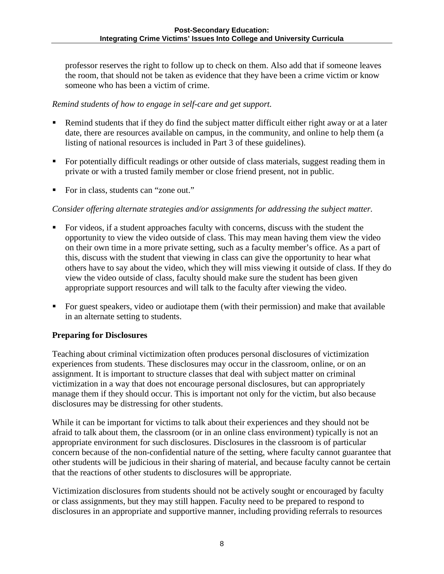professor reserves the right to follow up to check on them. Also add that if someone leaves the room, that should not be taken as evidence that they have been a crime victim or know someone who has been a victim of crime.

#### *Remind students of how to engage in self-care and get support.*

- Remind students that if they do find the subject matter difficult either right away or at a later date, there are resources available on campus, in the community, and online to help them (a listing of national resources is included in Part 3 of these guidelines).
- For potentially difficult readings or other outside of class materials, suggest reading them in private or with a trusted family member or close friend present, not in public.
- For in class, students can "zone out."

## *Consider offering alternate strategies and/or assignments for addressing the subject matter.*

- For videos, if a student approaches faculty with concerns, discuss with the student the opportunity to view the video outside of class. This may mean having them view the video on their own time in a more private setting, such as a faculty member's office. As a part of this, discuss with the student that viewing in class can give the opportunity to hear what others have to say about the video, which they will miss viewing it outside of class. If they do view the video outside of class, faculty should make sure the student has been given appropriate support resources and will talk to the faculty after viewing the video.
- For guest speakers, video or audiotape them (with their permission) and make that available in an alternate setting to students.

#### **Preparing for Disclosures**

Teaching about criminal victimization often produces personal disclosures of victimization experiences from students. These disclosures may occur in the classroom, online, or on an assignment. It is important to structure classes that deal with subject matter on criminal victimization in a way that does not encourage personal disclosures, but can appropriately manage them if they should occur. This is important not only for the victim, but also because disclosures may be distressing for other students.

While it can be important for victims to talk about their experiences and they should not be afraid to talk about them, the classroom (or in an online class environment) typically is not an appropriate environment for such disclosures. Disclosures in the classroom is of particular concern because of the non-confidential nature of the setting, where faculty cannot guarantee that other students will be judicious in their sharing of material, and because faculty cannot be certain that the reactions of other students to disclosures will be appropriate.

Victimization disclosures from students should not be actively sought or encouraged by faculty or class assignments, but they may still happen. Faculty need to be prepared to respond to disclosures in an appropriate and supportive manner, including providing referrals to resources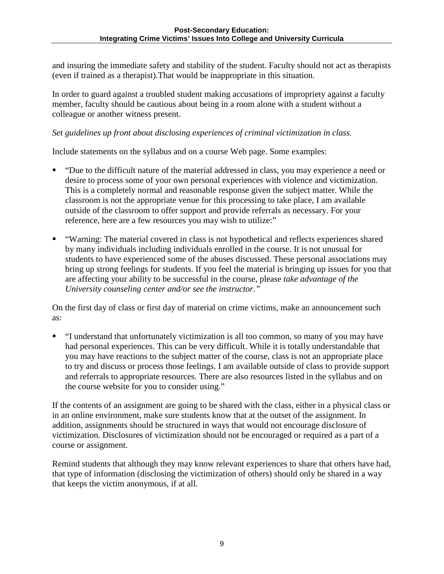and insuring the immediate safety and stability of the student. Faculty should not act as therapists (even if trained as a therapist).That would be inappropriate in this situation.

In order to guard against a troubled student making accusations of impropriety against a faculty member, faculty should be cautious about being in a room alone with a student without a colleague or another witness present.

#### *Set guidelines up front about disclosing experiences of criminal victimization in class.*

Include statements on the syllabus and on a course Web page. Some examples:

- "Due to the difficult nature of the material addressed in class, you may experience a need or desire to process some of your own personal experiences with violence and victimization. This is a completely normal and reasonable response given the subject matter. While the classroom is not the appropriate venue for this processing to take place, I am available outside of the classroom to offer support and provide referrals as necessary. For your reference, here are a few resources you may wish to utilize:"
- "Warning: The material covered in class is not hypothetical and reflects experiences shared by many individuals including individuals enrolled in the course. It is not unusual for students to have experienced some of the abuses discussed. These personal associations may bring up strong feelings for students. If you feel the material is bringing up issues for you that are affecting your ability to be successful in the course, please *take advantage of the University counseling center and/or see the instructor."*

On the first day of class or first day of material on crime victims, make an announcement such as:

 "I understand that unfortunately victimization is all too common, so many of you may have had personal experiences. This can be very difficult. While it is totally understandable that you may have reactions to the subject matter of the course, class is not an appropriate place to try and discuss or process those feelings. I am available outside of class to provide support and referrals to appropriate resources. There are also resources listed in the syllabus and on the course website for you to consider using."

If the contents of an assignment are going to be shared with the class, either in a physical class or in an online environment, make sure students know that at the outset of the assignment. In addition, assignments should be structured in ways that would not encourage disclosure of victimization. Disclosures of victimization should not be encouraged or required as a part of a course or assignment.

Remind students that although they may know relevant experiences to share that others have had, that type of information (disclosing the victimization of others) should only be shared in a way that keeps the victim anonymous, if at all.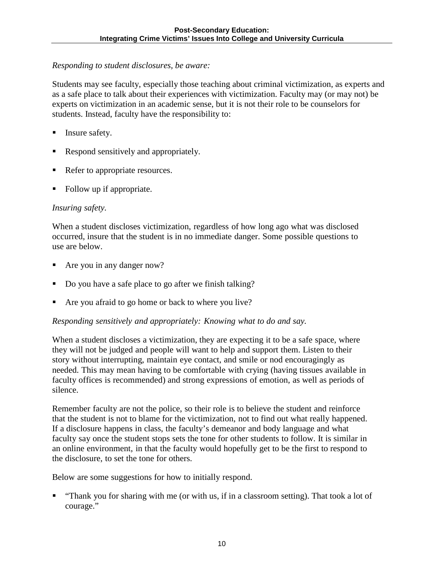#### *Responding to student disclosures, be aware:*

Students may see faculty, especially those teaching about criminal victimization, as experts and as a safe place to talk about their experiences with victimization. Faculty may (or may not) be experts on victimization in an academic sense, but it is not their role to be counselors for students. Instead, faculty have the responsibility to:

- Insure safety.
- Respond sensitively and appropriately.
- Refer to appropriate resources.
- Follow up if appropriate.

#### *Insuring safety.*

When a student discloses victimization, regardless of how long ago what was disclosed occurred, insure that the student is in no immediate danger. Some possible questions to use are below.

- Are you in any danger now?
- Do you have a safe place to go after we finish talking?
- Are you afraid to go home or back to where you live?

#### *Responding sensitively and appropriately: Knowing what to do and say.*

When a student discloses a victimization, they are expecting it to be a safe space, where they will not be judged and people will want to help and support them. Listen to their story without interrupting, maintain eye contact, and smile or nod encouragingly as needed. This may mean having to be comfortable with crying (having tissues available in faculty offices is recommended) and strong expressions of emotion, as well as periods of silence.

Remember faculty are not the police, so their role is to believe the student and reinforce that the student is not to blame for the victimization, not to find out what really happened. If a disclosure happens in class, the faculty's demeanor and body language and what faculty say once the student stops sets the tone for other students to follow. It is similar in an online environment, in that the faculty would hopefully get to be the first to respond to the disclosure, to set the tone for others.

Below are some suggestions for how to initially respond.

 "Thank you for sharing with me (or with us, if in a classroom setting). That took a lot of courage."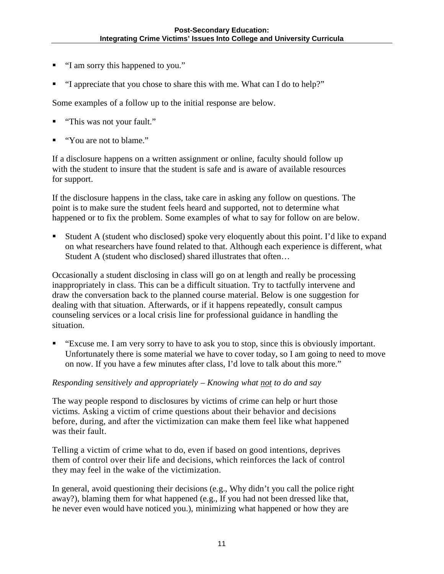- "I am sorry this happened to you."
- "I appreciate that you chose to share this with me. What can I do to help?"

Some examples of a follow up to the initial response are below.

- "This was not your fault."
- "You are not to blame."

If a disclosure happens on a written assignment or online, faculty should follow up with the student to insure that the student is safe and is aware of available resources for support.

If the disclosure happens in the class, take care in asking any follow on questions. The point is to make sure the student feels heard and supported, not to determine what happened or to fix the problem. Some examples of what to say for follow on are below.

 Student A (student who disclosed) spoke very eloquently about this point. I'd like to expand on what researchers have found related to that. Although each experience is different, what Student A (student who disclosed) shared illustrates that often…

Occasionally a student disclosing in class will go on at length and really be processing inappropriately in class. This can be a difficult situation. Try to tactfully intervene and draw the conversation back to the planned course material. Below is one suggestion for dealing with that situation. Afterwards, or if it happens repeatedly, consult campus counseling services or a local crisis line for professional guidance in handling the situation.

 "Excuse me. I am very sorry to have to ask you to stop, since this is obviously important. Unfortunately there is some material we have to cover today, so I am going to need to move on now. If you have a few minutes after class, I'd love to talk about this more."

#### *Responding sensitively and appropriately – Knowing what not to do and say*

The way people respond to disclosures by victims of crime can help or hurt those victims. Asking a victim of crime questions about their behavior and decisions before, during, and after the victimization can make them feel like what happened was their fault.

Telling a victim of crime what to do, even if based on good intentions, deprives them of control over their life and decisions, which reinforces the lack of control they may feel in the wake of the victimization.

In general, avoid questioning their decisions (e.g., Why didn't you call the police right away?), blaming them for what happened (e.g., If you had not been dressed like that, he never even would have noticed you.), minimizing what happened or how they are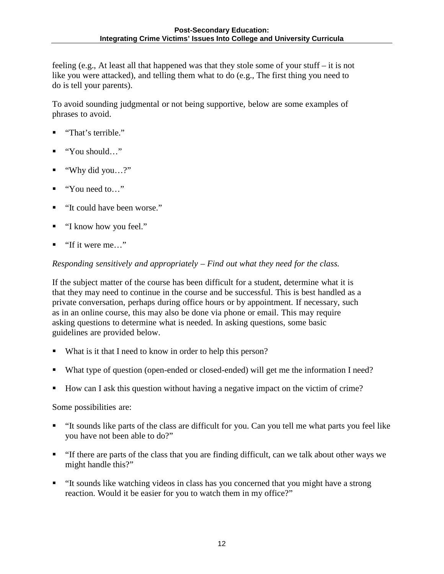feeling (e.g., At least all that happened was that they stole some of your stuff – it is not like you were attacked), and telling them what to do (e.g., The first thing you need to do is tell your parents).

To avoid sounding judgmental or not being supportive, below are some examples of phrases to avoid.

- "That's terrible."
- "You should…"
- "Why did you…?"
- "You need to…"
- "It could have been worse."
- "I know how you feel."
- "If it were me…"

#### *Responding sensitively and appropriately – Find out what they need for the class.*

If the subject matter of the course has been difficult for a student, determine what it is that they may need to continue in the course and be successful. This is best handled as a private conversation, perhaps during office hours or by appointment. If necessary, such as in an online course, this may also be done via phone or email. This may require asking questions to determine what is needed. In asking questions, some basic guidelines are provided below.

- What is it that I need to know in order to help this person?
- What type of question (open-ended or closed-ended) will get me the information I need?
- How can I ask this question without having a negative impact on the victim of crime?

Some possibilities are:

- "It sounds like parts of the class are difficult for you. Can you tell me what parts you feel like you have not been able to do?"
- "If there are parts of the class that you are finding difficult, can we talk about other ways we might handle this?"
- "It sounds like watching videos in class has you concerned that you might have a strong reaction. Would it be easier for you to watch them in my office?"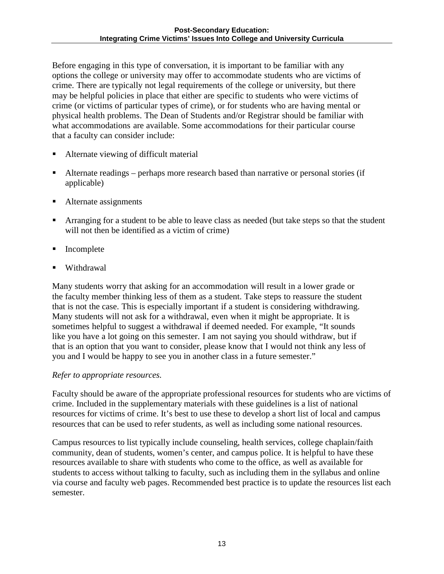Before engaging in this type of conversation, it is important to be familiar with any options the college or university may offer to accommodate students who are victims of crime. There are typically not legal requirements of the college or university, but there may be helpful policies in place that either are specific to students who were victims of crime (or victims of particular types of crime), or for students who are having mental or physical health problems. The Dean of Students and/or Registrar should be familiar with what accommodations are available. Some accommodations for their particular course that a faculty can consider include:

- Alternate viewing of difficult material
- Alternate readings perhaps more research based than narrative or personal stories (if applicable)
- Alternate assignments
- Arranging for a student to be able to leave class as needed (but take steps so that the student will not then be identified as a victim of crime)
- Incomplete
- Withdrawal

Many students worry that asking for an accommodation will result in a lower grade or the faculty member thinking less of them as a student. Take steps to reassure the student that is not the case. This is especially important if a student is considering withdrawing. Many students will not ask for a withdrawal, even when it might be appropriate. It is sometimes helpful to suggest a withdrawal if deemed needed. For example, "It sounds like you have a lot going on this semester. I am not saying you should withdraw, but if that is an option that you want to consider, please know that I would not think any less of you and I would be happy to see you in another class in a future semester."

#### *Refer to appropriate resources.*

Faculty should be aware of the appropriate professional resources for students who are victims of crime. Included in the supplementary materials with these guidelines is a list of national resources for victims of crime. It's best to use these to develop a short list of local and campus resources that can be used to refer students, as well as including some national resources.

Campus resources to list typically include counseling, health services, college chaplain/faith community, dean of students, women's center, and campus police. It is helpful to have these resources available to share with students who come to the office, as well as available for students to access without talking to faculty, such as including them in the syllabus and online via course and faculty web pages. Recommended best practice is to update the resources list each semester.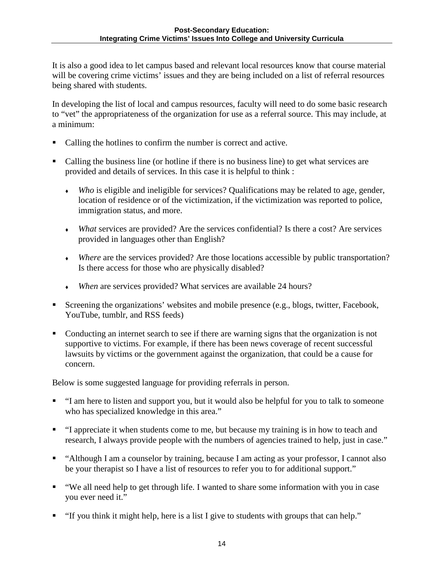It is also a good idea to let campus based and relevant local resources know that course material will be covering crime victims' issues and they are being included on a list of referral resources being shared with students.

In developing the list of local and campus resources, faculty will need to do some basic research to "vet" the appropriateness of the organization for use as a referral source. This may include, at a minimum:

- Calling the hotlines to confirm the number is correct and active.
- Calling the business line (or hotline if there is no business line) to get what services are provided and details of services. In this case it is helpful to think :
	- *Who* is eligible and ineligible for services? Qualifications may be related to age, gender, location of residence or of the victimization, if the victimization was reported to police, immigration status, and more.
	- *What* services are provided? Are the services confidential? Is there a cost? Are services provided in languages other than English?
	- *Where* are the services provided? Are those locations accessible by public transportation? Is there access for those who are physically disabled?
	- *When* are services provided? What services are available 24 hours?
- Screening the organizations' websites and mobile presence (e.g., blogs, twitter, Facebook, YouTube, tumblr, and RSS feeds)
- Conducting an internet search to see if there are warning signs that the organization is not supportive to victims. For example, if there has been news coverage of recent successful lawsuits by victims or the government against the organization, that could be a cause for concern.

Below is some suggested language for providing referrals in person.

- "I am here to listen and support you, but it would also be helpful for you to talk to someone who has specialized knowledge in this area."
- "I appreciate it when students come to me, but because my training is in how to teach and research, I always provide people with the numbers of agencies trained to help, just in case."
- "Although I am a counselor by training, because I am acting as your professor, I cannot also be your therapist so I have a list of resources to refer you to for additional support."
- "We all need help to get through life. I wanted to share some information with you in case you ever need it."
- "If you think it might help, here is a list I give to students with groups that can help."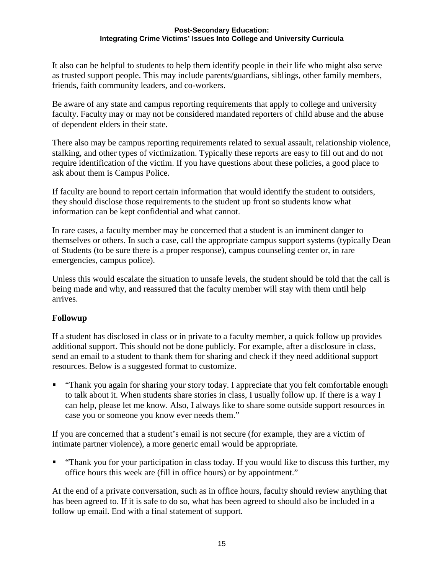It also can be helpful to students to help them identify people in their life who might also serve as trusted support people. This may include parents/guardians, siblings, other family members, friends, faith community leaders, and co-workers.

Be aware of any state and campus reporting requirements that apply to college and university faculty. Faculty may or may not be considered mandated reporters of child abuse and the abuse of dependent elders in their state.

There also may be campus reporting requirements related to sexual assault, relationship violence, stalking, and other types of victimization. Typically these reports are easy to fill out and do not require identification of the victim. If you have questions about these policies, a good place to ask about them is Campus Police.

If faculty are bound to report certain information that would identify the student to outsiders, they should disclose those requirements to the student up front so students know what information can be kept confidential and what cannot.

In rare cases, a faculty member may be concerned that a student is an imminent danger to themselves or others. In such a case, call the appropriate campus support systems (typically Dean of Students (to be sure there is a proper response), campus counseling center or, in rare emergencies, campus police).

Unless this would escalate the situation to unsafe levels, the student should be told that the call is being made and why, and reassured that the faculty member will stay with them until help arrives.

## **Followup**

If a student has disclosed in class or in private to a faculty member, a quick follow up provides additional support. This should not be done publicly. For example, after a disclosure in class, send an email to a student to thank them for sharing and check if they need additional support resources. Below is a suggested format to customize.

 "Thank you again for sharing your story today. I appreciate that you felt comfortable enough to talk about it. When students share stories in class, I usually follow up. If there is a way I can help, please let me know. Also, I always like to share some outside support resources in case you or someone you know ever needs them."

If you are concerned that a student's email is not secure (for example, they are a victim of intimate partner violence), a more generic email would be appropriate.

 "Thank you for your participation in class today. If you would like to discuss this further, my office hours this week are (fill in office hours) or by appointment."

At the end of a private conversation, such as in office hours, faculty should review anything that has been agreed to. If it is safe to do so, what has been agreed to should also be included in a follow up email. End with a final statement of support.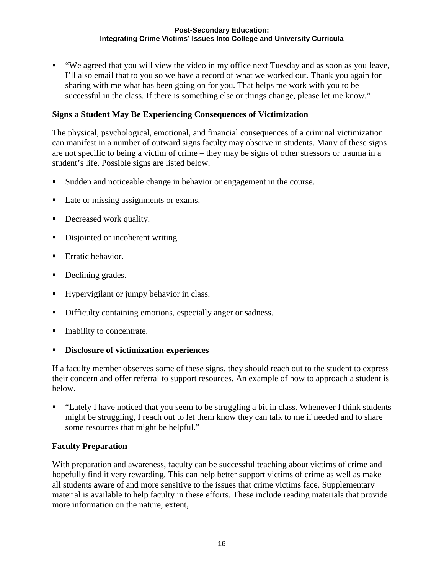"We agreed that you will view the video in my office next Tuesday and as soon as you leave, I'll also email that to you so we have a record of what we worked out. Thank you again for sharing with me what has been going on for you. That helps me work with you to be successful in the class. If there is something else or things change, please let me know."

#### **Signs a Student May Be Experiencing Consequences of Victimization**

The physical, psychological, emotional, and financial consequences of a criminal victimization can manifest in a number of outward signs faculty may observe in students. Many of these signs are not specific to being a victim of crime – they may be signs of other stressors or trauma in a student's life. Possible signs are listed below.

- Sudden and noticeable change in behavior or engagement in the course.
- Late or missing assignments or exams.
- Decreased work quality.
- Disjointed or incoherent writing.
- Erratic behavior.
- Declining grades.
- Hypervigilant or jumpy behavior in class.
- Difficulty containing emotions, especially anger or sadness.
- Inability to concentrate.
- **Disclosure of victimization experiences**

If a faculty member observes some of these signs, they should reach out to the student to express their concern and offer referral to support resources. An example of how to approach a student is below.

 "Lately I have noticed that you seem to be struggling a bit in class. Whenever I think students might be struggling, I reach out to let them know they can talk to me if needed and to share some resources that might be helpful."

#### **Faculty Preparation**

With preparation and awareness, faculty can be successful teaching about victims of crime and hopefully find it very rewarding. This can help better support victims of crime as well as make all students aware of and more sensitive to the issues that crime victims face. Supplementary material is available to help faculty in these efforts. These include reading materials that provide more information on the nature, extent,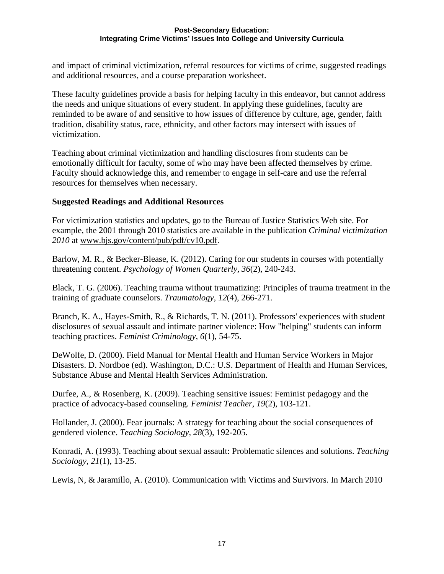and impact of criminal victimization, referral resources for victims of crime, suggested readings and additional resources, and a course preparation worksheet.

These faculty guidelines provide a basis for helping faculty in this endeavor, but cannot address the needs and unique situations of every student. In applying these guidelines, faculty are reminded to be aware of and sensitive to how issues of difference by culture, age, gender, faith tradition, disability status, race, ethnicity, and other factors may intersect with issues of victimization.

Teaching about criminal victimization and handling disclosures from students can be emotionally difficult for faculty, some of who may have been affected themselves by crime. Faculty should acknowledge this, and remember to engage in self-care and use the referral resources for themselves when necessary.

#### **Suggested Readings and Additional Resources**

For victimization statistics and updates, go to the Bureau of Justice Statistics Web site. For example, the 2001 through 2010 statistics are available in the publication *Criminal victimization 2010* at [www.bjs.gov/content/pub/pdf/cv10.pdf.](http://www.bjs.gov/content/pub/pdf/cv10.pdf)

Barlow, M. R., & Becker-Blease, K. (2012). Caring for our students in courses with potentially threatening content. *Psychology of Women Quarterly, 36*(2), 240-243.

Black, T. G. (2006). Teaching trauma without traumatizing: Principles of trauma treatment in the training of graduate counselors. *Traumatology, 12*(4), 266-271.

Branch, K. A., Hayes-Smith, R., & Richards, T. N. (2011). Professors' experiences with student disclosures of sexual assault and intimate partner violence: How "helping" students can inform teaching practices. *Feminist Criminology, 6*(1), 54-75.

DeWolfe, D. (2000). Field Manual for Mental Health and Human Service Workers in Major Disasters. D. Nordboe (ed). Washington, D.C.: U.S. Department of Health and Human Services, Substance Abuse and Mental Health Services Administration.

Durfee, A., & Rosenberg, K. (2009). Teaching sensitive issues: Feminist pedagogy and the practice of advocacy-based counseling. *Feminist Teacher, 19*(2), 103-121.

Hollander, J. (2000). Fear journals: A strategy for teaching about the social consequences of gendered violence. *Teaching Sociology, 28*(3), 192-205.

Konradi, A. (1993). Teaching about sexual assault: Problematic silences and solutions. *Teaching Sociology, 21*(1), 13-25.

Lewis, N, & Jaramillo, A. (2010). Communication with Victims and Survivors. In March 2010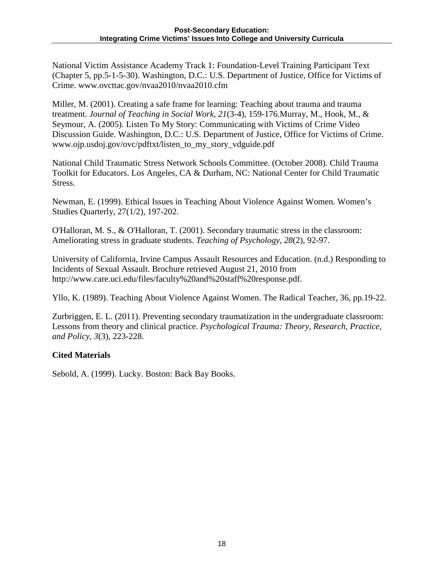National Victim Assistance Academy Track 1: Foundation-Level Training Participant Text (Chapter 5, pp.5-1-5-30). Washington, D.C.: U.S. Department of Justice, Office for Victims of Crime. www.ovcttac.gov/nvaa2010/nvaa2010.cfm

Miller, M. (2001). Creating a safe frame for learning: Teaching about trauma and trauma treatment. *Journal of Teaching in Social Work, 21*(3-4), 159-176.Murray, M., Hook, M., & Seymour, A. (2005). Listen To My Story: Communicating with Victims of Crime Video Discussion Guide. Washington, D.C.: U.S. Department of Justice, Office for Victims of Crime. www.ojp.usdoj.gov/ovc/pdftxt/listen\_to\_my\_story\_vdguide.pdf

National Child Traumatic Stress Network Schools Committee. (October 2008). Child Trauma Toolkit for Educators. Los Angeles, CA & Durham, NC: National Center for Child Traumatic Stress.

Newman, E. (1999). Ethical Issues in Teaching About Violence Against Women. Women's Studies Quarterly, 27(1/2), 197-202.

O'Halloran, M. S., & O'Halloran, T. (2001). Secondary traumatic stress in the classroom: Ameliorating stress in graduate students. *Teaching of Psychology, 28*(2), 92-97.

University of California, Irvine Campus Assault Resources and Education. (n.d.) Responding to Incidents of Sexual Assault. Brochure retrieved August 21, 2010 from http://www.care.uci.edu/files/faculty%20and%20staff%20response.pdf.

Yllo, K. (1989). Teaching About Violence Against Women. The Radical Teacher, 36, pp.19-22.

Zurbriggen, E. L. (2011). Preventing secondary traumatization in the undergraduate classroom: Lessons from theory and clinical practice. *Psychological Trauma: Theory, Research, Practice, and Policy, 3*(3), 223-228.

## **Cited Materials**

Sebold, A. (1999). Lucky. Boston: Back Bay Books.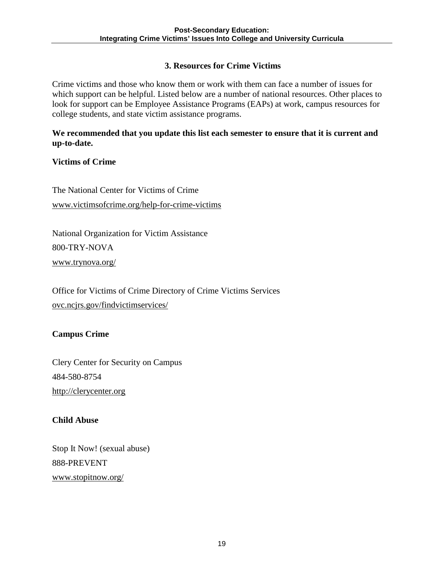## **3. Resources for Crime Victims**

Crime victims and those who know them or work with them can face a number of issues for which support can be helpful. Listed below are a number of national resources. Other places to look for support can be Employee Assistance Programs (EAPs) at work, campus resources for college students, and state victim assistance programs.

#### **We recommended that you update this list each semester to ensure that it is current and up-to-date.**

## **Victims of Crime**

The National Center for Victims of Crime www.victimsofcrime.org/help-for-crime-victims

National Organization for Victim Assistance 800-TRY-NOVA [www.trynova.org/](http://www.trynova.org/)

Office for Victims of Crime Directory of Crime Victims Services [ovc.ncjrs.gov/findvictimservices/](http://ovc.ncjrs.gov/findvictimservices/)

#### **Campus Crime**

Clery Center for Security on Campus 484-580-8754 [http://clerycenter.org](http://clerycenter.org/)

#### **Child Abuse**

Stop It Now! (sexual abuse) 888-PREVENT [www.stopitnow.org/](http://www.stopitnow.org/)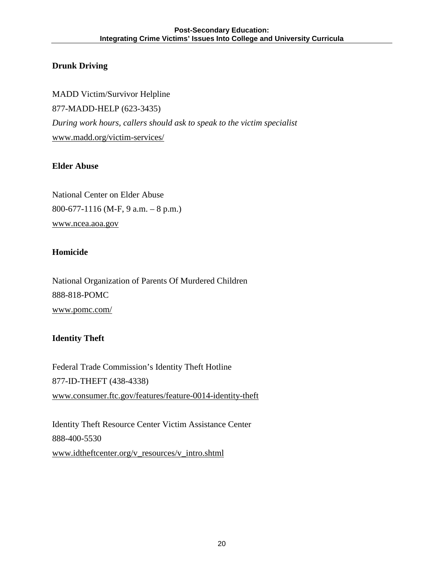## **Drunk Driving**

MADD Victim/Survivor Helpline 877-MADD-HELP (623-3435) *During work hours, callers should ask to speak to the victim specialist* [www.madd.org/victim-services/](http://www.madd.org/victim-services/) 

#### **Elder Abuse**

National Center on Elder Abuse 800-677-1116 (M-F, 9 a.m. – 8 p.m.) [www.ncea.aoa.gov](http://www.ncea.aoa.gov/)

#### **Homicide**

National Organization of Parents Of Murdered Children 888-818-POMC [www.pomc.com/](http://www.pomc.com/)

#### **Identity Theft**

Federal Trade Commission's Identity Theft Hotline 877-ID-THEFT (438-4338) [www.consumer.ftc.gov/features/feature-0014-identity-theft](http://www.consumer.ftc.gov/features/feature-0014-identity-theft)

Identity Theft Resource Center Victim Assistance Center 888-400-5530 [www.idtheftcenter.org/v\\_resources/v\\_intro.shtml](http://www.idtheftcenter.org/v_resources/v_intro.shtml)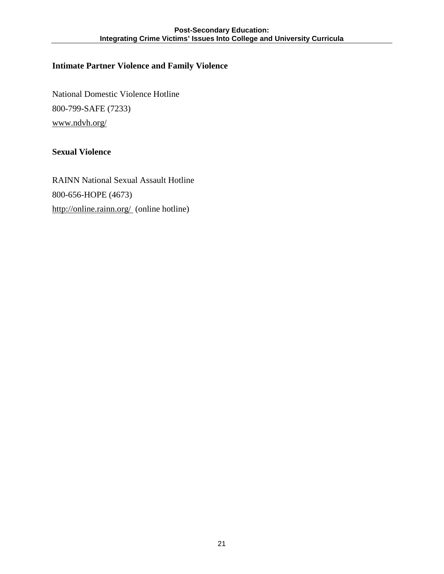## **Intimate Partner Violence and Family Violence**

National Domestic Violence Hotline 800-799-SAFE (7233) [www.ndvh.org/](http://www.ndvh.org/)

## **Sexual Violence**

RAINN National Sexual Assault Hotline 800-656-HOPE (4673) <http://online.rainn.org/>(online hotline)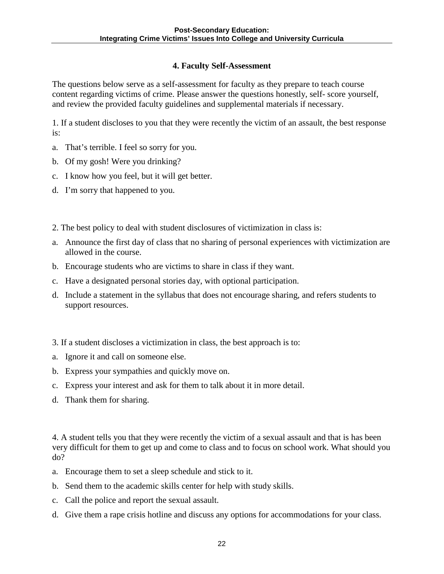## **4. Faculty Self-Assessment**

The questions below serve as a self-assessment for faculty as they prepare to teach course content regarding victims of crime. Please answer the questions honestly, self- score yourself, and review the provided faculty guidelines and supplemental materials if necessary.

1. If a student discloses to you that they were recently the victim of an assault, the best response is:

- a. That's terrible. I feel so sorry for you.
- b. Of my gosh! Were you drinking?
- c. I know how you feel, but it will get better.
- d. I'm sorry that happened to you.
- 2. The best policy to deal with student disclosures of victimization in class is:
- a. Announce the first day of class that no sharing of personal experiences with victimization are allowed in the course.
- b. Encourage students who are victims to share in class if they want.
- c. Have a designated personal stories day, with optional participation.
- d. Include a statement in the syllabus that does not encourage sharing, and refers students to support resources.
- 3. If a student discloses a victimization in class, the best approach is to:
- a. Ignore it and call on someone else.
- b. Express your sympathies and quickly move on.
- c. Express your interest and ask for them to talk about it in more detail.
- d. Thank them for sharing.

4. A student tells you that they were recently the victim of a sexual assault and that is has been very difficult for them to get up and come to class and to focus on school work. What should you do?

- a. Encourage them to set a sleep schedule and stick to it.
- b. Send them to the academic skills center for help with study skills.
- c. Call the police and report the sexual assault.
- d. Give them a rape crisis hotline and discuss any options for accommodations for your class.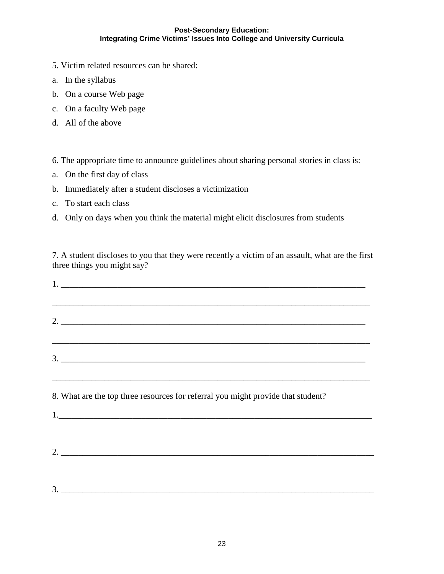- 5. Victim related resources can be shared:
- a. In the syllabus
- b. On a course Web page
- c. On a faculty Web page
- d. All of the above

#### 6. The appropriate time to announce guidelines about sharing personal stories in class is:

- a. On the first day of class
- b. Immediately after a student discloses a victimization
- c. To start each class
- d. Only on days when you think the material might elicit disclosures from students

7. A student discloses to you that they were recently a victim of an assault, what are the first three things you might say?

| $1.$ $\overline{\phantom{a}}$                                                                                                                                        |
|----------------------------------------------------------------------------------------------------------------------------------------------------------------------|
| ,我们也不能在这里的时候,我们也不能在这里的时候,我们也不能会在这里的时候,我们也不能会在这里的时候,我们也不能会在这里的时候,我们也不能会在这里的时候,我们也不<br>2.                                                                              |
| $\frac{3}{2}$                                                                                                                                                        |
| ,我们也不会有什么。""我们的人,我们也不会有什么?""我们的人,我们也不会有什么?""我们的人,我们也不会有什么?""我们的人,我们也不会有什么?""我们的人<br>8. What are the top three resources for referral you might provide that student? |
| $2.$ $\overline{\phantom{a}}$                                                                                                                                        |
|                                                                                                                                                                      |